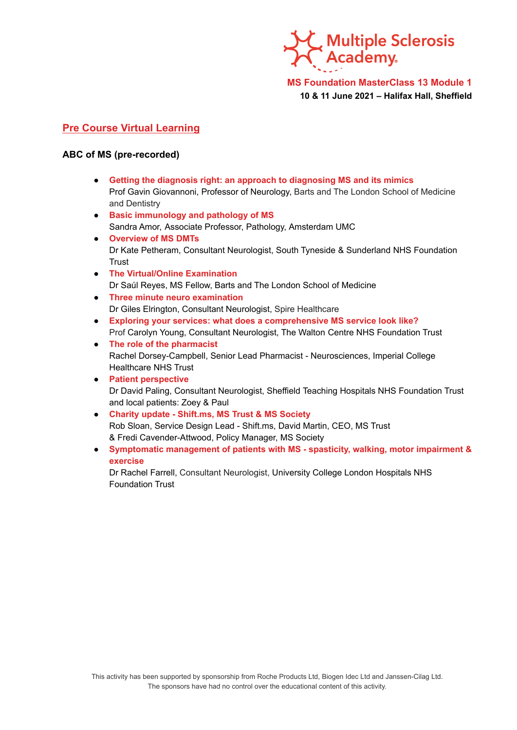

# **Pre Course Virtual Learning**

# **ABC of MS (pre-recorded)**

- **Getting the diagnosis right: an approach to diagnosing MS and its mimics** Prof Gavin Giovannoni, Professor of Neurology, Barts and The London School of Medicine and Dentistry
- **Basic immunology and pathology of MS** Sandra Amor, Associate Professor, Pathology, Amsterdam UMC
- **Overview of MS DMTs** Dr Kate Petheram, Consultant Neurologist, South Tyneside & Sunderland NHS Foundation **Trust**
- **The Virtual/Online Examination** Dr Saúl Reyes, MS Fellow, Barts and The London School of Medicine
- **Three minute neuro examination** Dr Giles Elrington, Consultant Neurologist, Spire Healthcare
- **Exploring your services: what does a comprehensive MS service look like?** Prof Carolyn Young, Consultant Neurologist, The Walton Centre NHS Foundation Trust
- **The role of the pharmacist** Rachel Dorsey-Campbell, Senior Lead Pharmacist - Neurosciences, Imperial College Healthcare NHS Trust
- **Patient perspective** Dr David Paling, Consultant Neurologist, Sheffield Teaching Hospitals NHS Foundation Trust and local patients: Zoey & Paul
- **Charity update - Shift.ms, MS Trust & MS Society** Rob Sloan, Service Design Lead - Shift.ms, David Martin, CEO, MS Trust & Fredi Cavender-Attwood, Policy Manager, MS Society
- **Symptomatic management of patients with MS - spasticity, walking, motor impairment & exercise**

Dr Rachel Farrell, Consultant Neurologist, University College London Hospitals NHS Foundation Trust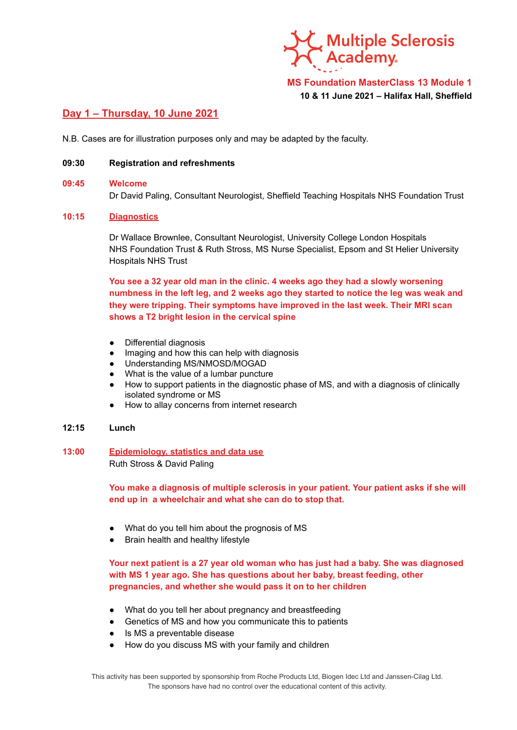

# **Day 1 – Thursday, 10 June 2021**

N.B. Cases are for illustration purposes only and may be adapted by the faculty.

## **09:30 Registration and refreshments**

#### **09:45 Welcome**

Dr David Paling, Consultant Neurologist, Sheffield Teaching Hospitals NHS Foundation Trust

## **10:15 Diagnostics**

Dr Wallace Brownlee, Consultant Neurologist, University College London Hospitals NHS Foundation Trust & Ruth Stross, MS Nurse Specialist, Epsom and St Helier University Hospitals NHS Trust

**You see a 32 year old man in the clinic. 4 weeks ago they had a slowly worsening numbness in the left leg, and 2 weeks ago they started to notice the leg was weak and they were tripping. Their symptoms have improved in the last week. Their MRI scan shows a T2 bright lesion in the cervical spine**

- Differential diagnosis
- Imaging and how this can help with diagnosis
- Understanding MS/NMOSD/MOGAD
- What is the value of a lumbar puncture
- How to support patients in the diagnostic phase of MS, and with a diagnosis of clinically isolated syndrome or MS
- How to allay concerns from internet research

#### **12:15 Lunch**

## **13:00 Epidemiology, statistics and data use** Ruth Stross & David Paling

**You make a diagnosis of multiple sclerosis in your patient. Your patient asks if she will end up in a wheelchair and what she can do to stop that.**

- What do you tell him about the prognosis of MS
- Brain health and healthy lifestyle

**Your next patient is a 27 year old woman who has just had a baby. She was diagnosed with MS 1 year ago. She has questions about her baby, breast feeding, other pregnancies, and whether she would pass it on to her children**

- What do you tell her about pregnancy and breastfeeding
- Genetics of MS and how you communicate this to patients
- Is MS a preventable disease
- How do you discuss MS with your family and children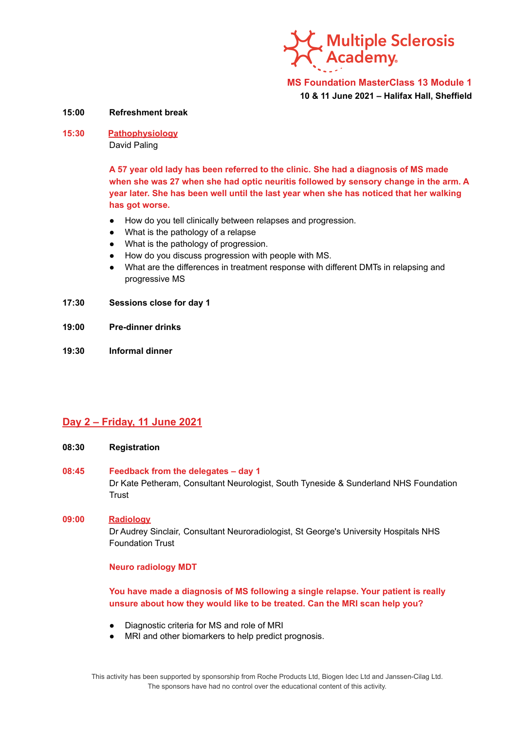

#### **15:00 Refreshment break**

**15:30 Pathophysiology** David Paling

> **A 57 year old lady has been referred to the clinic. She had a diagnosis of MS made when she was 27 when she had optic neuritis followed by sensory change in the arm. A year later. She has been well until the last year when she has noticed that her walking has got worse.**

- How do you tell clinically between relapses and progression.
- What is the pathology of a relapse
- What is the pathology of progression.
- How do you discuss progression with people with MS.
- What are the differences in treatment response with different DMTs in relapsing and progressive MS
- **17:30 Sessions close for day 1**
- **19:00 Pre-dinner drinks**
- **19:30 Informal dinner**

# **Day 2 – Friday, 11 June 2021**

#### **08:30 Registration**

**08:45 Feedback from the delegates – day 1** Dr Kate Petheram, Consultant Neurologist, South Tyneside & Sunderland NHS Foundation **Trust** 

# **09:00 Radiology** Dr Audrey Sinclair, Consultant Neuroradiologist, St George's University Hospitals NHS Foundation Trust

## **Neuro radiology MDT**

# **You have made a diagnosis of MS following a single relapse. Your patient is really unsure about how they would like to be treated. Can the MRI scan help you?**

- Diagnostic criteria for MS and role of MRI
- MRI and other biomarkers to help predict prognosis.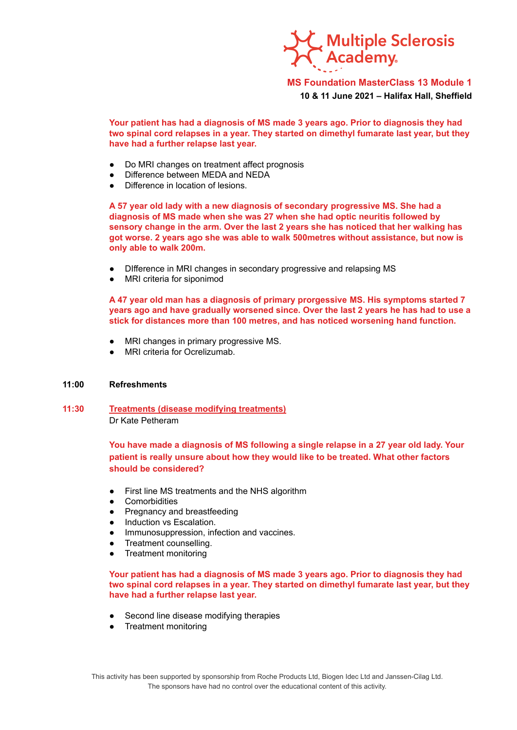

**Your patient has had a diagnosis of MS made 3 years ago. Prior to diagnosis they had two spinal cord relapses in a year. They started on dimethyl fumarate last year, but they have had a further relapse last year.**

- Do MRI changes on treatment affect prognosis
- Difference between MEDA and NEDA
- Difference in location of lesions.

**A 57 year old lady with a new diagnosis of secondary progressive MS. She had a diagnosis of MS made when she was 27 when she had optic neuritis followed by sensory change in the arm. Over the last 2 years she has noticed that her walking has got worse. 2 years ago she was able to walk 500metres without assistance, but now is only able to walk 200m.**

- DIfference in MRI changes in secondary progressive and relapsing MS
- MRI criteria for siponimod

**A 47 year old man has a diagnosis of primary prorgessive MS. His symptoms started 7 years ago and have gradually worsened since. Over the last 2 years he has had to use a stick for distances more than 100 metres, and has noticed worsening hand function.**

- MRI changes in primary progressive MS.
- MRI criteria for Ocrelizumab.

## **11:00 Refreshments**

**11:30 Treatments (disease modifying treatments)** Dr Kate Petheram

> **You have made a diagnosis of MS following a single relapse in a 27 year old lady. Your patient is really unsure about how they would like to be treated. What other factors should be considered?**

- First line MS treatments and the NHS algorithm
- Comorbidities
- Pregnancy and breastfeeding
- Induction vs Escalation.
- Immunosuppression, infection and vaccines.
- Treatment counselling.
- Treatment monitoring

**Your patient has had a diagnosis of MS made 3 years ago. Prior to diagnosis they had two spinal cord relapses in a year. They started on dimethyl fumarate last year, but they have had a further relapse last year.**

- Second line disease modifying therapies
- Treatment monitoring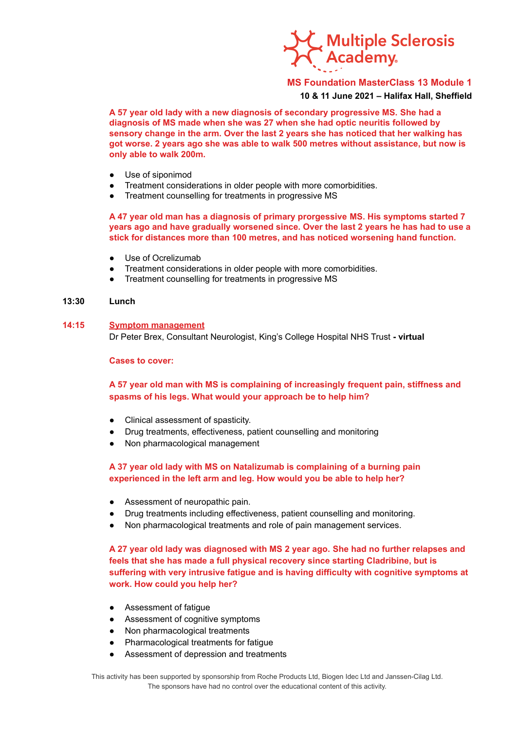

**A 57 year old lady with a new diagnosis of secondary progressive MS. She had a diagnosis of MS made when she was 27 when she had optic neuritis followed by sensory change in the arm. Over the last 2 years she has noticed that her walking has got worse. 2 years ago she was able to walk 500 metres without assistance, but now is only able to walk 200m.**

- Use of siponimod
- Treatment considerations in older people with more comorbidities.
- Treatment counselling for treatments in progressive MS

**A 47 year old man has a diagnosis of primary prorgessive MS. His symptoms started 7 years ago and have gradually worsened since. Over the last 2 years he has had to use a stick for distances more than 100 metres, and has noticed worsening hand function.**

- Use of Ocrelizumab
- Treatment considerations in older people with more comorbidities.
- Treatment counselling for treatments in progressive MS

## **13:30 Lunch**

#### **14:15 Symptom management**

Dr Peter Brex, Consultant Neurologist, King's College Hospital NHS Trust **- virtual**

### **Cases to cover:**

# **A 57 year old man with MS is complaining of increasingly frequent pain, stiffness and spasms of his legs. What would your approach be to help him?**

- Clinical assessment of spasticity.
- Drug treatments, effectiveness, patient counselling and monitoring
- Non pharmacological management

# **A 37 year old lady with MS on Natalizumab is complaining of a burning pain experienced in the left arm and leg. How would you be able to help her?**

- Assessment of neuropathic pain.
- Drug treatments including effectiveness, patient counselling and monitoring.
- Non pharmacological treatments and role of pain management services.

**A 27 year old lady was diagnosed with MS 2 year ago. She had no further relapses and feels that she has made a full physical recovery since starting Cladribine, but is suffering with very intrusive fatigue and is having difficulty with cognitive symptoms at work. How could you help her?**

- Assessment of fatigue
- Assessment of cognitive symptoms
- Non pharmacological treatments
- Pharmacological treatments for fatigue
- Assessment of depression and treatments

This activity has been supported by sponsorship from Roche Products Ltd, Biogen Idec Ltd and Janssen-Cilag Ltd. The sponsors have had no control over the educational content of this activity.